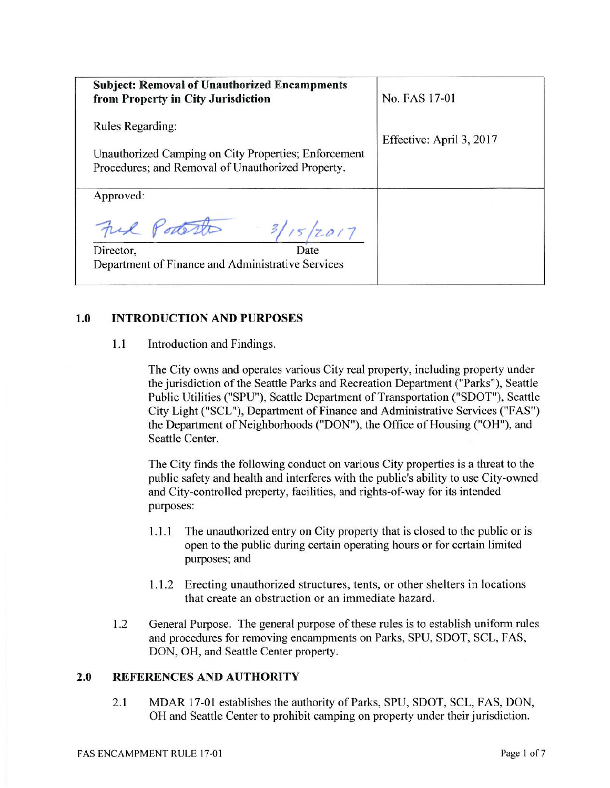| <b>Subject: Removal of Unauthorized Encampments</b><br>from Property in City Jurisdiction                                            | No. FAS 17-01            |
|--------------------------------------------------------------------------------------------------------------------------------------|--------------------------|
| <b>Rules Regarding:</b><br>Unauthorized Camping on City Properties; Enforcement<br>Procedures; and Removal of Unauthorized Property. | Effective: April 3, 2017 |
| Approved:<br>Ful Portesto<br>3/15/2017<br>Date<br>Director,<br>Department of Finance and Administrative Services                     |                          |

#### $1.0$ **INTRODUCTION AND PURPOSES**

 $1.1$ Introduction and Findings.

> The City owns and operates various City real property, including property under the jurisdiction of the Seattle Parks and Recreation Department ("Parks"), Seattle Public Utilities ("SPU"), Seattle Department of Transportation ("SDOT"), Seattle City Light ("SCL"), Department of Finance and Administrative Services ("FAS") the Department of Neighborhoods ("DON"), the Office of Housing ("OH"), and Seattle Center.

> The City finds the following conduct on various City properties is a threat to the public safety and health and interferes with the public's ability to use City-owned and City-controlled property, facilities, and rights-of-way for its intended purposes:

- The unauthorized entry on City property that is closed to the public or is  $1.1.1$ open to the public during certain operating hours or for certain limited purposes; and
- 1.1.2 Erecting unauthorized structures, tents, or other shelters in locations that create an obstruction or an immediate hazard.
- 1.2 General Purpose. The general purpose of these rules is to establish uniform rules and procedures for removing encampments on Parks, SPU, SDOT, SCL, FAS, DON, OH, and Seattle Center property.

#### **REFERENCES AND AUTHORITY**  $2.0$

 $2.1$ MDAR 17-01 establishes the authority of Parks, SPU, SDOT, SCL, FAS, DON, OH and Seattle Center to prohibit camping on property under their jurisdiction.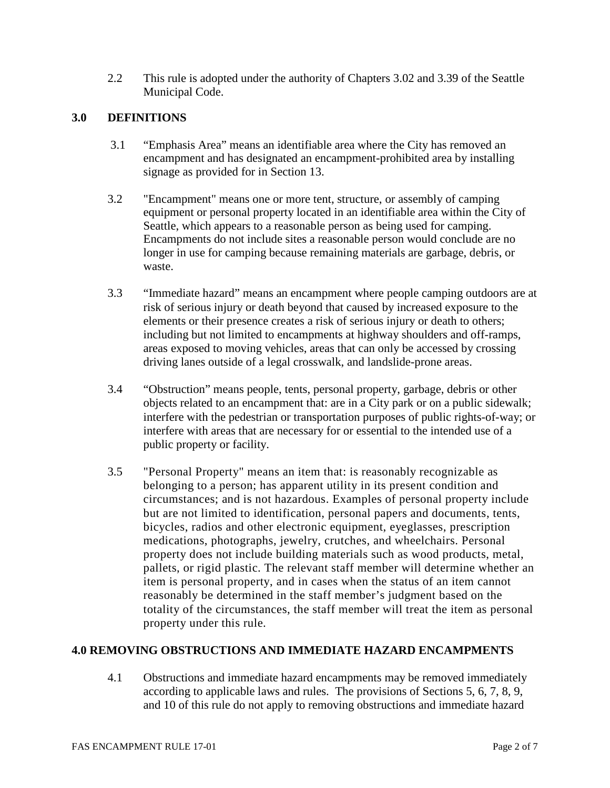2.2 This rule is adopted under the authority of Chapters 3.02 and 3.39 of the Seattle Municipal Code.

# **3.0 DEFINITIONS**

- 3.1 "Emphasis Area" means an identifiable area where the City has removed an encampment and has designated an encampment-prohibited area by installing signage as provided for in Section 13.
- 3.2 "Encampment" means one or more tent, structure, or assembly of camping equipment or personal property located in an identifiable area within the City of Seattle, which appears to a reasonable person as being used for camping. Encampments do not include sites a reasonable person would conclude are no longer in use for camping because remaining materials are garbage, debris, or waste.
- 3.3 "Immediate hazard" means an encampment where people camping outdoors are at risk of serious injury or death beyond that caused by increased exposure to the elements or their presence creates a risk of serious injury or death to others; including but not limited to encampments at highway shoulders and off-ramps, areas exposed to moving vehicles, areas that can only be accessed by crossing driving lanes outside of a legal crosswalk, and landslide-prone areas.
- 3.4 "Obstruction" means people, tents, personal property, garbage, debris or other objects related to an encampment that: are in a City park or on a public sidewalk; interfere with the pedestrian or transportation purposes of public rights-of-way; or interfere with areas that are necessary for or essential to the intended use of a public property or facility.
- 3.5 "Personal Property" means an item that: is reasonably recognizable as belonging to a person; has apparent utility in its present condition and circumstances; and is not hazardous. Examples of personal property include but are not limited to identification, personal papers and documents, tents, bicycles, radios and other electronic equipment, eyeglasses, prescription medications, photographs, jewelry, crutches, and wheelchairs. Personal property does not include building materials such as wood products, metal, pallets, or rigid plastic. The relevant staff member will determine whether an item is personal property, and in cases when the status of an item cannot reasonably be determined in the staff member's judgment based on the totality of the circumstances, the staff member will treat the item as personal property under this rule.

## **4.0 REMOVING OBSTRUCTIONS AND IMMEDIATE HAZARD ENCAMPMENTS**

4.1 Obstructions and immediate hazard encampments may be removed immediately according to applicable laws and rules. The provisions of Sections 5, 6, 7, 8, 9, and 10 of this rule do not apply to removing obstructions and immediate hazard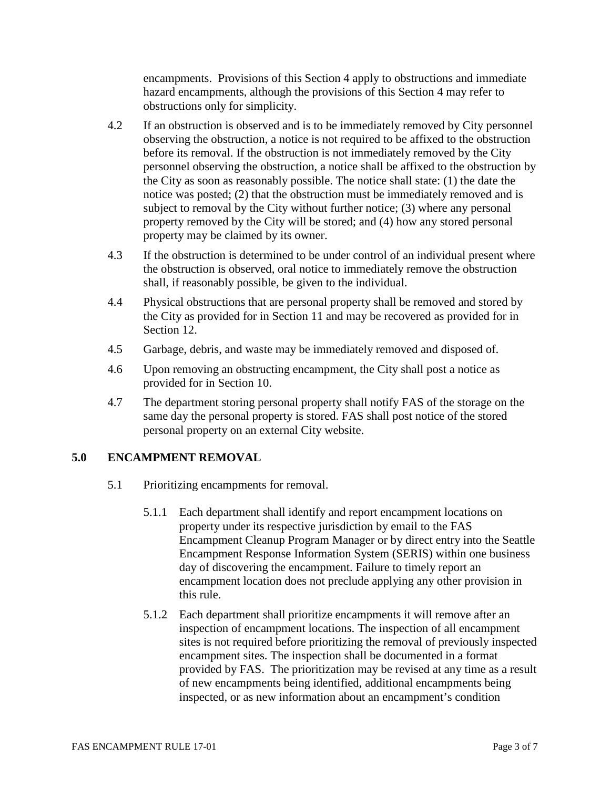encampments. Provisions of this Section 4 apply to obstructions and immediate hazard encampments, although the provisions of this Section 4 may refer to obstructions only for simplicity.

- 4.2 If an obstruction is observed and is to be immediately removed by City personnel observing the obstruction, a notice is not required to be affixed to the obstruction before its removal. If the obstruction is not immediately removed by the City personnel observing the obstruction, a notice shall be affixed to the obstruction by the City as soon as reasonably possible. The notice shall state: (1) the date the notice was posted; (2) that the obstruction must be immediately removed and is subject to removal by the City without further notice; (3) where any personal property removed by the City will be stored; and (4) how any stored personal property may be claimed by its owner.
- 4.3 If the obstruction is determined to be under control of an individual present where the obstruction is observed, oral notice to immediately remove the obstruction shall, if reasonably possible, be given to the individual.
- 4.4 Physical obstructions that are personal property shall be removed and stored by the City as provided for in Section 11 and may be recovered as provided for in Section 12.
- 4.5 Garbage, debris, and waste may be immediately removed and disposed of.
- 4.6 Upon removing an obstructing encampment, the City shall post a notice as provided for in Section 10.
- 4.7 The department storing personal property shall notify FAS of the storage on the same day the personal property is stored. FAS shall post notice of the stored personal property on an external City website.

# **5.0 ENCAMPMENT REMOVAL**

- 5.1 Prioritizing encampments for removal.
	- 5.1.1 Each department shall identify and report encampment locations on property under its respective jurisdiction by email to the FAS Encampment Cleanup Program Manager or by direct entry into the Seattle Encampment Response Information System (SERIS) within one business day of discovering the encampment. Failure to timely report an encampment location does not preclude applying any other provision in this rule.
	- 5.1.2 Each department shall prioritize encampments it will remove after an inspection of encampment locations. The inspection of all encampment sites is not required before prioritizing the removal of previously inspected encampment sites. The inspection shall be documented in a format provided by FAS. The prioritization may be revised at any time as a result of new encampments being identified, additional encampments being inspected, or as new information about an encampment's condition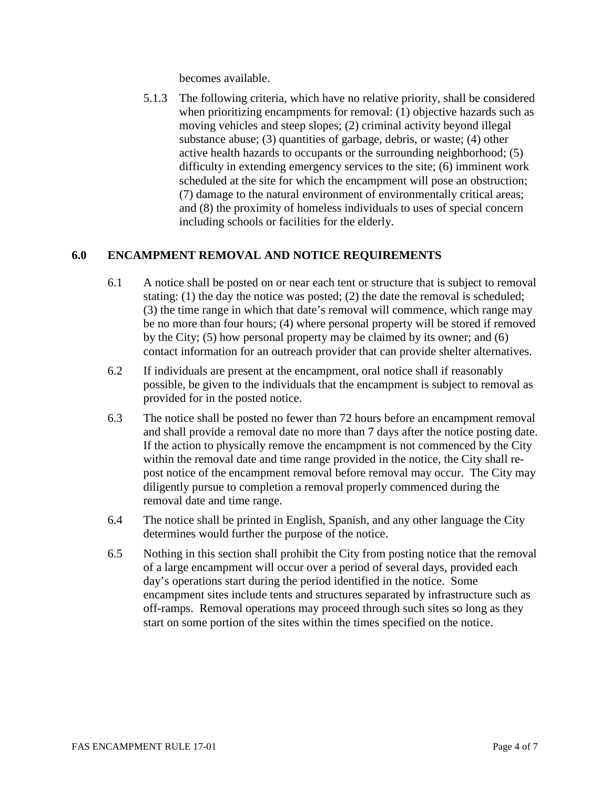becomes available.

5.1.3 The following criteria, which have no relative priority, shall be considered when prioritizing encampments for removal: (1) objective hazards such as moving vehicles and steep slopes; (2) criminal activity beyond illegal substance abuse; (3) quantities of garbage, debris, or waste; (4) other active health hazards to occupants or the surrounding neighborhood; (5) difficulty in extending emergency services to the site; (6) imminent work scheduled at the site for which the encampment will pose an obstruction; (7) damage to the natural environment of environmentally critical areas; and (8) the proximity of homeless individuals to uses of special concern including schools or facilities for the elderly.

## **6.0 ENCAMPMENT REMOVAL AND NOTICE REQUIREMENTS**

- 6.1 A notice shall be posted on or near each tent or structure that is subject to removal stating: (1) the day the notice was posted; (2) the date the removal is scheduled; (3) the time range in which that date's removal will commence, which range may be no more than four hours; (4) where personal property will be stored if removed by the City; (5) how personal property may be claimed by its owner; and (6) contact information for an outreach provider that can provide shelter alternatives.
- 6.2 If individuals are present at the encampment, oral notice shall if reasonably possible, be given to the individuals that the encampment is subject to removal as provided for in the posted notice.
- 6.3 The notice shall be posted no fewer than 72 hours before an encampment removal and shall provide a removal date no more than 7 days after the notice posting date. If the action to physically remove the encampment is not commenced by the City within the removal date and time range provided in the notice, the City shall repost notice of the encampment removal before removal may occur. The City may diligently pursue to completion a removal properly commenced during the removal date and time range.
- 6.4 The notice shall be printed in English, Spanish, and any other language the City determines would further the purpose of the notice.
- 6.5 Nothing in this section shall prohibit the City from posting notice that the removal of a large encampment will occur over a period of several days, provided each day's operations start during the period identified in the notice. Some encampment sites include tents and structures separated by infrastructure such as off-ramps. Removal operations may proceed through such sites so long as they start on some portion of the sites within the times specified on the notice.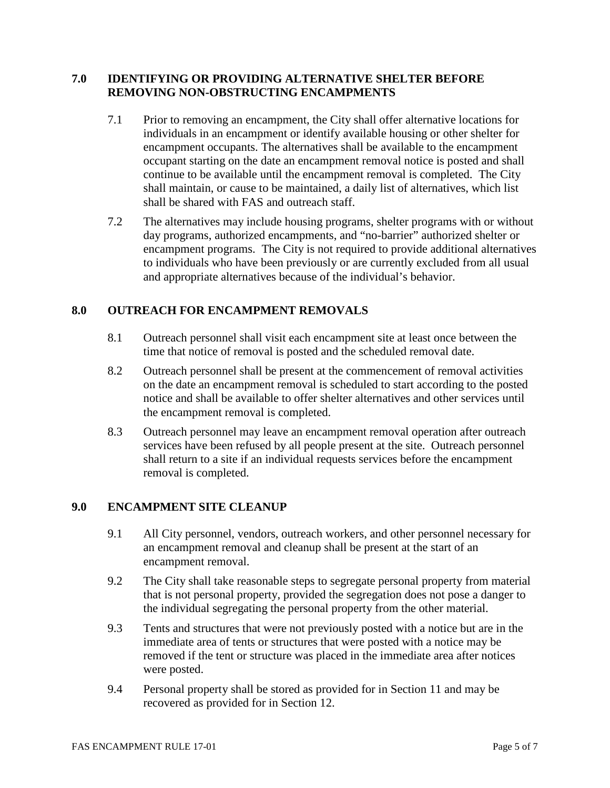## **7.0 IDENTIFYING OR PROVIDING ALTERNATIVE SHELTER BEFORE REMOVING NON-OBSTRUCTING ENCAMPMENTS**

- 7.1 Prior to removing an encampment, the City shall offer alternative locations for individuals in an encampment or identify available housing or other shelter for encampment occupants. The alternatives shall be available to the encampment occupant starting on the date an encampment removal notice is posted and shall continue to be available until the encampment removal is completed. The City shall maintain, or cause to be maintained, a daily list of alternatives, which list shall be shared with FAS and outreach staff.
- 7.2 The alternatives may include housing programs, shelter programs with or without day programs, authorized encampments, and "no-barrier" authorized shelter or encampment programs. The City is not required to provide additional alternatives to individuals who have been previously or are currently excluded from all usual and appropriate alternatives because of the individual's behavior.

## **8.0 OUTREACH FOR ENCAMPMENT REMOVALS**

- 8.1 Outreach personnel shall visit each encampment site at least once between the time that notice of removal is posted and the scheduled removal date.
- 8.2 Outreach personnel shall be present at the commencement of removal activities on the date an encampment removal is scheduled to start according to the posted notice and shall be available to offer shelter alternatives and other services until the encampment removal is completed.
- 8.3 Outreach personnel may leave an encampment removal operation after outreach services have been refused by all people present at the site. Outreach personnel shall return to a site if an individual requests services before the encampment removal is completed.

#### **9.0 ENCAMPMENT SITE CLEANUP**

- 9.1 All City personnel, vendors, outreach workers, and other personnel necessary for an encampment removal and cleanup shall be present at the start of an encampment removal.
- 9.2 The City shall take reasonable steps to segregate personal property from material that is not personal property, provided the segregation does not pose a danger to the individual segregating the personal property from the other material.
- 9.3 Tents and structures that were not previously posted with a notice but are in the immediate area of tents or structures that were posted with a notice may be removed if the tent or structure was placed in the immediate area after notices were posted.
- 9.4 Personal property shall be stored as provided for in Section 11 and may be recovered as provided for in Section 12.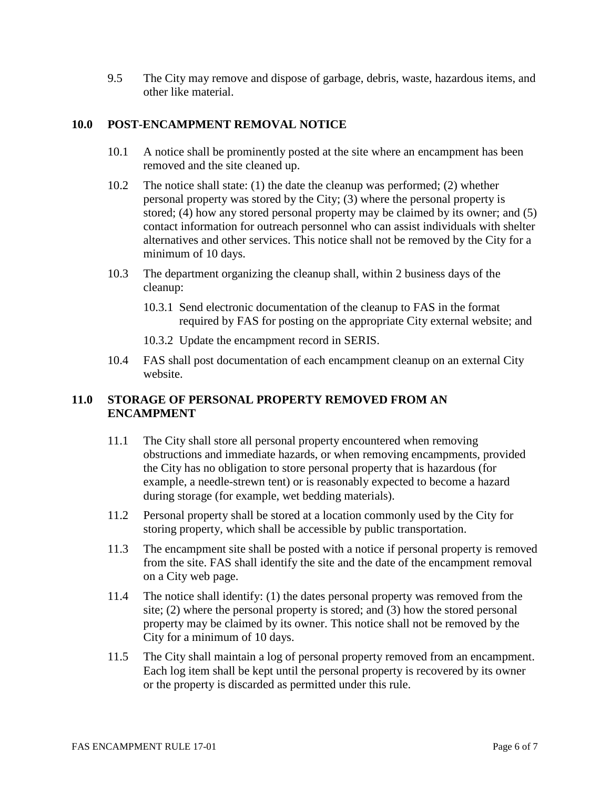9.5 The City may remove and dispose of garbage, debris, waste, hazardous items, and other like material.

#### **10.0 POST-ENCAMPMENT REMOVAL NOTICE**

- 10.1 A notice shall be prominently posted at the site where an encampment has been removed and the site cleaned up.
- 10.2 The notice shall state: (1) the date the cleanup was performed; (2) whether personal property was stored by the City; (3) where the personal property is stored; (4) how any stored personal property may be claimed by its owner; and (5) contact information for outreach personnel who can assist individuals with shelter alternatives and other services. This notice shall not be removed by the City for a minimum of 10 days.
- 10.3 The department organizing the cleanup shall, within 2 business days of the cleanup:
	- 10.3.1 Send electronic documentation of the cleanup to FAS in the format required by FAS for posting on the appropriate City external website; and
	- 10.3.2 Update the encampment record in SERIS.
- 10.4 FAS shall post documentation of each encampment cleanup on an external City website.

#### **11.0 STORAGE OF PERSONAL PROPERTY REMOVED FROM AN ENCAMPMENT**

- 11.1 The City shall store all personal property encountered when removing obstructions and immediate hazards, or when removing encampments, provided the City has no obligation to store personal property that is hazardous (for example, a needle-strewn tent) or is reasonably expected to become a hazard during storage (for example, wet bedding materials).
- 11.2 Personal property shall be stored at a location commonly used by the City for storing property, which shall be accessible by public transportation.
- 11.3 The encampment site shall be posted with a notice if personal property is removed from the site. FAS shall identify the site and the date of the encampment removal on a City web page.
- 11.4 The notice shall identify: (1) the dates personal property was removed from the site; (2) where the personal property is stored; and (3) how the stored personal property may be claimed by its owner. This notice shall not be removed by the City for a minimum of 10 days.
- 11.5 The City shall maintain a log of personal property removed from an encampment. Each log item shall be kept until the personal property is recovered by its owner or the property is discarded as permitted under this rule.